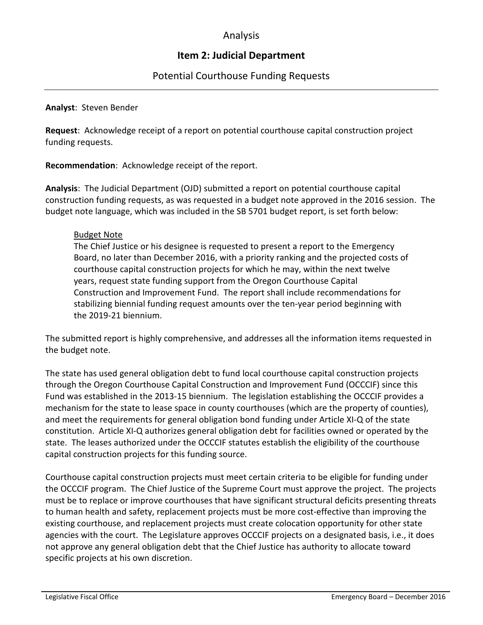## Analysis

# **Item 2: Judicial Department**

## Potential Courthouse Funding Requests

### **Analyst**: Steven Bender

**Request**: Acknowledge receipt of a report on potential courthouse capital construction project funding requests.

**Recommendation**: Acknowledge receipt of the report.

**Analysis**: The Judicial Department (OJD) submitted a report on potential courthouse capital construction funding requests, as was requested in a budget note approved in the 2016 session. The budget note language, which was included in the SB 5701 budget report, is set forth below:

## Budget Note

The Chief Justice or his designee is requested to present a report to the Emergency Board, no later than December 2016, with a priority ranking and the projected costs of courthouse capital construction projects for which he may, within the next twelve years, request state funding support from the Oregon Courthouse Capital Construction and Improvement Fund. The report shall include recommendations for stabilizing biennial funding request amounts over the ten-year period beginning with the 2019-21 biennium.

The submitted report is highly comprehensive, and addresses all the information items requested in the budget note.

The state has used general obligation debt to fund local courthouse capital construction projects through the Oregon Courthouse Capital Construction and Improvement Fund (OCCCIF) since this Fund was established in the 2013-15 biennium. The legislation establishing the OCCCIF provides a mechanism for the state to lease space in county courthouses (which are the property of counties), and meet the requirements for general obligation bond funding under Article XI-Q of the state constitution. Article XI-Q authorizes general obligation debt for facilities owned or operated by the state. The leases authorized under the OCCCIF statutes establish the eligibility of the courthouse capital construction projects for this funding source.

Courthouse capital construction projects must meet certain criteria to be eligible for funding under the OCCCIF program. The Chief Justice of the Supreme Court must approve the project. The projects must be to replace or improve courthouses that have significant structural deficits presenting threats to human health and safety, replacement projects must be more cost-effective than improving the existing courthouse, and replacement projects must create colocation opportunity for other state agencies with the court. The Legislature approves OCCCIF projects on a designated basis, i.e., it does not approve any general obligation debt that the Chief Justice has authority to allocate toward specific projects at his own discretion.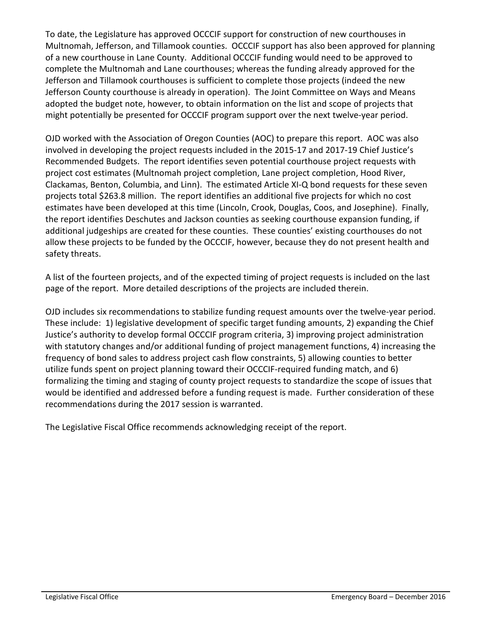To date, the Legislature has approved OCCCIF support for construction of new courthouses in Multnomah, Jefferson, and Tillamook counties. OCCCIF support has also been approved for planning of a new courthouse in Lane County. Additional OCCCIF funding would need to be approved to complete the Multnomah and Lane courthouses; whereas the funding already approved for the Jefferson and Tillamook courthouses is sufficient to complete those projects (indeed the new Jefferson County courthouse is already in operation). The Joint Committee on Ways and Means adopted the budget note, however, to obtain information on the list and scope of projects that might potentially be presented for OCCCIF program support over the next twelve-year period.

OJD worked with the Association of Oregon Counties (AOC) to prepare this report. AOC was also involved in developing the project requests included in the 2015-17 and 2017-19 Chief Justice's Recommended Budgets. The report identifies seven potential courthouse project requests with project cost estimates (Multnomah project completion, Lane project completion, Hood River, Clackamas, Benton, Columbia, and Linn). The estimated Article XI-Q bond requests for these seven projects total \$263.8 million. The report identifies an additional five projects for which no cost estimates have been developed at this time (Lincoln, Crook, Douglas, Coos, and Josephine). Finally, the report identifies Deschutes and Jackson counties as seeking courthouse expansion funding, if additional judgeships are created for these counties. These counties' existing courthouses do not allow these projects to be funded by the OCCCIF, however, because they do not present health and safety threats.

A list of the fourteen projects, and of the expected timing of project requests is included on the last page of the report. More detailed descriptions of the projects are included therein.

OJD includes six recommendations to stabilize funding request amounts over the twelve-year period. These include: 1) legislative development of specific target funding amounts, 2) expanding the Chief Justice's authority to develop formal OCCCIF program criteria, 3) improving project administration with statutory changes and/or additional funding of project management functions, 4) increasing the frequency of bond sales to address project cash flow constraints, 5) allowing counties to better utilize funds spent on project planning toward their OCCCIF-required funding match, and 6) formalizing the timing and staging of county project requests to standardize the scope of issues that would be identified and addressed before a funding request is made. Further consideration of these recommendations during the 2017 session is warranted.

The Legislative Fiscal Office recommends acknowledging receipt of the report.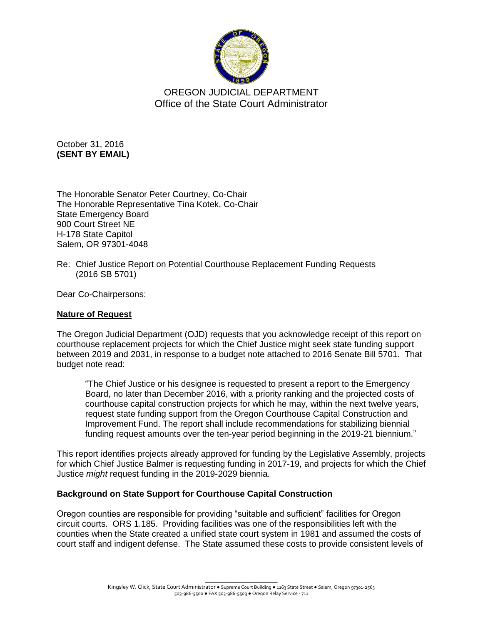

OREGON JUDICIAL DEPARTMENT Office of the State Court Administrator

October 31, 2016 **(SENT BY EMAIL)**

The Honorable Senator Peter Courtney, Co-Chair The Honorable Representative Tina Kotek, Co-Chair State Emergency Board 900 Court Street NE H-178 State Capitol Salem, OR 97301-4048

Re: Chief Justice Report on Potential Courthouse Replacement Funding Requests (2016 SB 5701)

Dear Co-Chairpersons:

## **Nature of Request**

The Oregon Judicial Department (OJD) requests that you acknowledge receipt of this report on courthouse replacement projects for which the Chief Justice might seek state funding support between 2019 and 2031, in response to a budget note attached to 2016 Senate Bill 5701. That budget note read:

"The Chief Justice or his designee is requested to present a report to the Emergency Board, no later than December 2016, with a priority ranking and the projected costs of courthouse capital construction projects for which he may, within the next twelve years, request state funding support from the Oregon Courthouse Capital Construction and Improvement Fund. The report shall include recommendations for stabilizing biennial funding request amounts over the ten-year period beginning in the 2019-21 biennium."

This report identifies projects already approved for funding by the Legislative Assembly, projects for which Chief Justice Balmer is requesting funding in 2017-19, and projects for which the Chief Justice *might* request funding in the 2019-2029 biennia.

## **Background on State Support for Courthouse Capital Construction**

Oregon counties are responsible for providing "suitable and sufficient" facilities for Oregon circuit courts. ORS 1.185. Providing facilities was one of the responsibilities left with the counties when the State created a unified state court system in 1981 and assumed the costs of court staff and indigent defense. The State assumed these costs to provide consistent levels of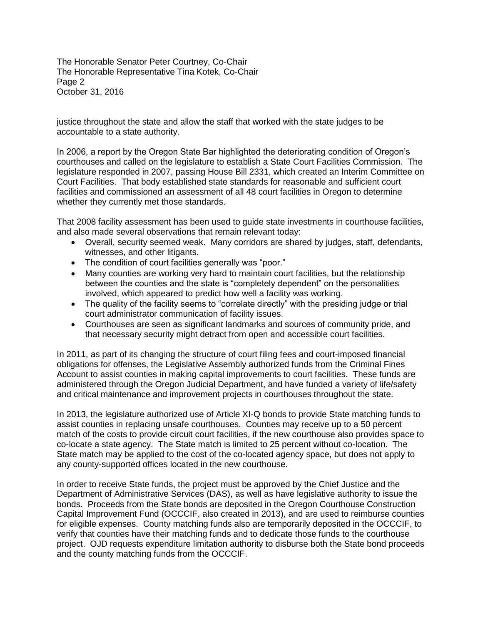The Honorable Senator Peter Courtney, Co-Chair The Honorable Representative Tina Kotek, Co-Chair Page 2 October 31, 2016

justice throughout the state and allow the staff that worked with the state judges to be accountable to a state authority.

In 2006, a report by the Oregon State Bar highlighted the deteriorating condition of Oregon's courthouses and called on the legislature to establish a State Court Facilities Commission. The legislature responded in 2007, passing House Bill 2331, which created an Interim Committee on Court Facilities. That body established state standards for reasonable and sufficient court facilities and commissioned an assessment of all 48 court facilities in Oregon to determine whether they currently met those standards.

That 2008 facility assessment has been used to guide state investments in courthouse facilities, and also made several observations that remain relevant today:

- Overall, security seemed weak. Many corridors are shared by judges, staff, defendants, witnesses, and other litigants.
- The condition of court facilities generally was "poor."
- Many counties are working very hard to maintain court facilities, but the relationship between the counties and the state is "completely dependent" on the personalities involved, which appeared to predict how well a facility was working.
- The quality of the facility seems to "correlate directly" with the presiding judge or trial court administrator communication of facility issues.
- Courthouses are seen as significant landmarks and sources of community pride, and that necessary security might detract from open and accessible court facilities.

In 2011, as part of its changing the structure of court filing fees and court-imposed financial obligations for offenses, the Legislative Assembly authorized funds from the Criminal Fines Account to assist counties in making capital improvements to court facilities. These funds are administered through the Oregon Judicial Department, and have funded a variety of life/safety and critical maintenance and improvement projects in courthouses throughout the state.

In 2013, the legislature authorized use of Article XI-Q bonds to provide State matching funds to assist counties in replacing unsafe courthouses. Counties may receive up to a 50 percent match of the costs to provide circuit court facilities, if the new courthouse also provides space to co-locate a state agency. The State match is limited to 25 percent without co-location. The State match may be applied to the cost of the co-located agency space, but does not apply to any county-supported offices located in the new courthouse.

In order to receive State funds, the project must be approved by the Chief Justice and the Department of Administrative Services (DAS), as well as have legislative authority to issue the bonds. Proceeds from the State bonds are deposited in the Oregon Courthouse Construction Capital Improvement Fund (OCCCIF, also created in 2013), and are used to reimburse counties for eligible expenses. County matching funds also are temporarily deposited in the OCCCIF, to verify that counties have their matching funds and to dedicate those funds to the courthouse project. OJD requests expenditure limitation authority to disburse both the State bond proceeds and the county matching funds from the OCCCIF.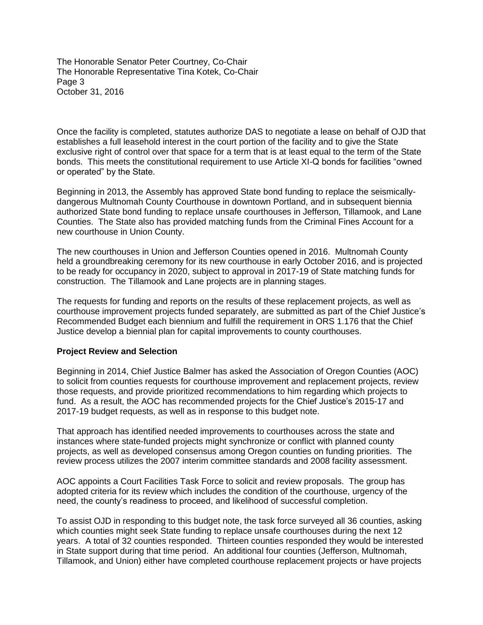The Honorable Senator Peter Courtney, Co-Chair The Honorable Representative Tina Kotek, Co-Chair Page 3 October 31, 2016

Once the facility is completed, statutes authorize DAS to negotiate a lease on behalf of OJD that establishes a full leasehold interest in the court portion of the facility and to give the State exclusive right of control over that space for a term that is at least equal to the term of the State bonds. This meets the constitutional requirement to use Article XI-Q bonds for facilities "owned or operated" by the State.

Beginning in 2013, the Assembly has approved State bond funding to replace the seismicallydangerous Multnomah County Courthouse in downtown Portland, and in subsequent biennia authorized State bond funding to replace unsafe courthouses in Jefferson, Tillamook, and Lane Counties. The State also has provided matching funds from the Criminal Fines Account for a new courthouse in Union County.

The new courthouses in Union and Jefferson Counties opened in 2016. Multnomah County held a groundbreaking ceremony for its new courthouse in early October 2016, and is projected to be ready for occupancy in 2020, subject to approval in 2017-19 of State matching funds for construction. The Tillamook and Lane projects are in planning stages.

The requests for funding and reports on the results of these replacement projects, as well as courthouse improvement projects funded separately, are submitted as part of the Chief Justice's Recommended Budget each biennium and fulfill the requirement in ORS 1.176 that the Chief Justice develop a biennial plan for capital improvements to county courthouses.

#### **Project Review and Selection**

Beginning in 2014, Chief Justice Balmer has asked the Association of Oregon Counties (AOC) to solicit from counties requests for courthouse improvement and replacement projects, review those requests, and provide prioritized recommendations to him regarding which projects to fund. As a result, the AOC has recommended projects for the Chief Justice's 2015-17 and 2017-19 budget requests, as well as in response to this budget note.

That approach has identified needed improvements to courthouses across the state and instances where state-funded projects might synchronize or conflict with planned county projects, as well as developed consensus among Oregon counties on funding priorities. The review process utilizes the 2007 interim committee standards and 2008 facility assessment.

AOC appoints a Court Facilities Task Force to solicit and review proposals. The group has adopted criteria for its review which includes the condition of the courthouse, urgency of the need, the county's readiness to proceed, and likelihood of successful completion.

To assist OJD in responding to this budget note, the task force surveyed all 36 counties, asking which counties might seek State funding to replace unsafe courthouses during the next 12 years. A total of 32 counties responded. Thirteen counties responded they would be interested in State support during that time period. An additional four counties (Jefferson, Multnomah, Tillamook, and Union) either have completed courthouse replacement projects or have projects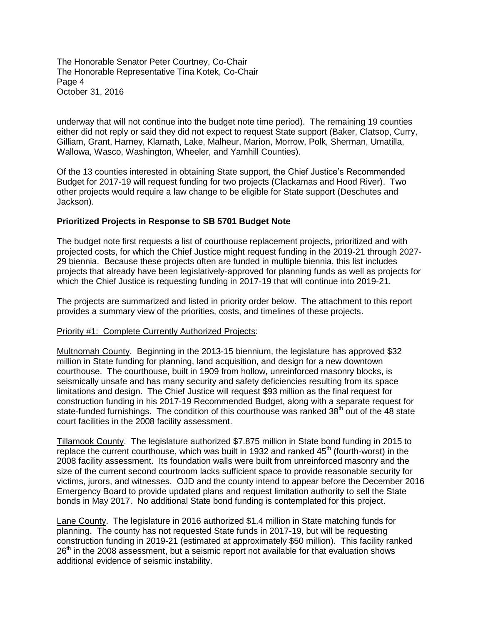The Honorable Senator Peter Courtney, Co-Chair The Honorable Representative Tina Kotek, Co-Chair Page 4 October 31, 2016

underway that will not continue into the budget note time period). The remaining 19 counties either did not reply or said they did not expect to request State support (Baker, Clatsop, Curry, Gilliam, Grant, Harney, Klamath, Lake, Malheur, Marion, Morrow, Polk, Sherman, Umatilla, Wallowa, Wasco, Washington, Wheeler, and Yamhill Counties).

Of the 13 counties interested in obtaining State support, the Chief Justice's Recommended Budget for 2017-19 will request funding for two projects (Clackamas and Hood River). Two other projects would require a law change to be eligible for State support (Deschutes and Jackson).

#### **Prioritized Projects in Response to SB 5701 Budget Note**

The budget note first requests a list of courthouse replacement projects, prioritized and with projected costs, for which the Chief Justice might request funding in the 2019-21 through 2027- 29 biennia. Because these projects often are funded in multiple biennia, this list includes projects that already have been legislatively-approved for planning funds as well as projects for which the Chief Justice is requesting funding in 2017-19 that will continue into 2019-21.

The projects are summarized and listed in priority order below. The attachment to this report provides a summary view of the priorities, costs, and timelines of these projects.

#### Priority #1: Complete Currently Authorized Projects:

Multnomah County. Beginning in the 2013-15 biennium, the legislature has approved \$32 million in State funding for planning, land acquisition, and design for a new downtown courthouse. The courthouse, built in 1909 from hollow, unreinforced masonry blocks, is seismically unsafe and has many security and safety deficiencies resulting from its space limitations and design. The Chief Justice will request \$93 million as the final request for construction funding in his 2017-19 Recommended Budget, along with a separate request for state-funded furnishings. The condition of this courthouse was ranked  $38<sup>th</sup>$  out of the 48 state court facilities in the 2008 facility assessment.

Tillamook County. The legislature authorized \$7.875 million in State bond funding in 2015 to replace the current courthouse, which was built in 1932 and ranked  $45<sup>th</sup>$  (fourth-worst) in the 2008 facility assessment. Its foundation walls were built from unreinforced masonry and the size of the current second courtroom lacks sufficient space to provide reasonable security for victims, jurors, and witnesses. OJD and the county intend to appear before the December 2016 Emergency Board to provide updated plans and request limitation authority to sell the State bonds in May 2017. No additional State bond funding is contemplated for this project.

Lane County. The legislature in 2016 authorized \$1.4 million in State matching funds for planning. The county has not requested State funds in 2017-19, but will be requesting construction funding in 2019-21 (estimated at approximately \$50 million). This facility ranked 26<sup>th</sup> in the 2008 assessment, but a seismic report not available for that evaluation shows additional evidence of seismic instability.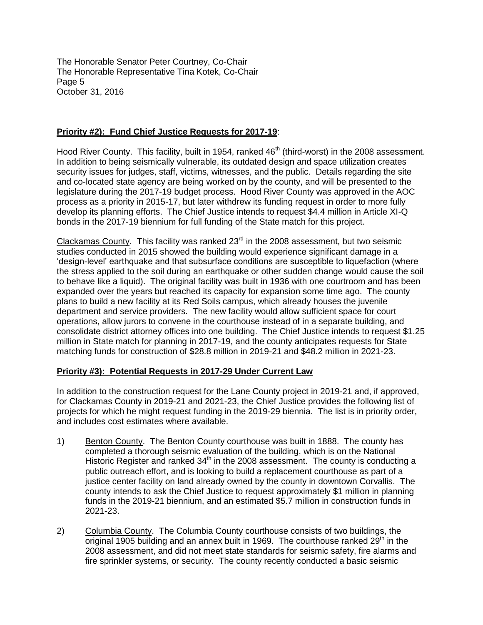The Honorable Senator Peter Courtney, Co-Chair The Honorable Representative Tina Kotek, Co-Chair Page 5 October 31, 2016

## **Priority #2): Fund Chief Justice Requests for 2017-19**:

Hood River County. This facility, built in 1954, ranked  $46<sup>th</sup>$  (third-worst) in the 2008 assessment. In addition to being seismically vulnerable, its outdated design and space utilization creates security issues for judges, staff, victims, witnesses, and the public. Details regarding the site and co-located state agency are being worked on by the county, and will be presented to the legislature during the 2017-19 budget process. Hood River County was approved in the AOC process as a priority in 2015-17, but later withdrew its funding request in order to more fully develop its planning efforts. The Chief Justice intends to request \$4.4 million in Article XI-Q bonds in the 2017-19 biennium for full funding of the State match for this project.

 $Clackamas County.$  This facility was ranked  $23<sup>rd</sup>$  in the 2008 assessment, but two seismic studies conducted in 2015 showed the building would experience significant damage in a 'design-level' earthquake and that subsurface conditions are susceptible to liquefaction (where the stress applied to the soil during an earthquake or other sudden change would cause the soil to behave like a liquid). The original facility was built in 1936 with one courtroom and has been expanded over the years but reached its capacity for expansion some time ago. The county plans to build a new facility at its Red Soils campus, which already houses the juvenile department and service providers. The new facility would allow sufficient space for court operations, allow jurors to convene in the courthouse instead of in a separate building, and consolidate district attorney offices into one building. The Chief Justice intends to request \$1.25 million in State match for planning in 2017-19, and the county anticipates requests for State matching funds for construction of \$28.8 million in 2019-21 and \$48.2 million in 2021-23.

## **Priority #3): Potential Requests in 2017-29 Under Current Law**

In addition to the construction request for the Lane County project in 2019-21 and, if approved, for Clackamas County in 2019-21 and 2021-23, the Chief Justice provides the following list of projects for which he might request funding in the 2019-29 biennia. The list is in priority order, and includes cost estimates where available.

- 1) Benton County. The Benton County courthouse was built in 1888. The county has completed a thorough seismic evaluation of the building, which is on the National Historic Register and ranked  $34<sup>th</sup>$  in the 2008 assessment. The county is conducting a public outreach effort, and is looking to build a replacement courthouse as part of a justice center facility on land already owned by the county in downtown Corvallis. The county intends to ask the Chief Justice to request approximately \$1 million in planning funds in the 2019-21 biennium, and an estimated \$5.7 million in construction funds in 2021-23.
- 2) Columbia County. The Columbia County courthouse consists of two buildings, the  $\overline{\text{original}}$  1905 building and an annex built in 1969. The courthouse ranked 29<sup>th</sup> in the 2008 assessment, and did not meet state standards for seismic safety, fire alarms and fire sprinkler systems, or security. The county recently conducted a basic seismic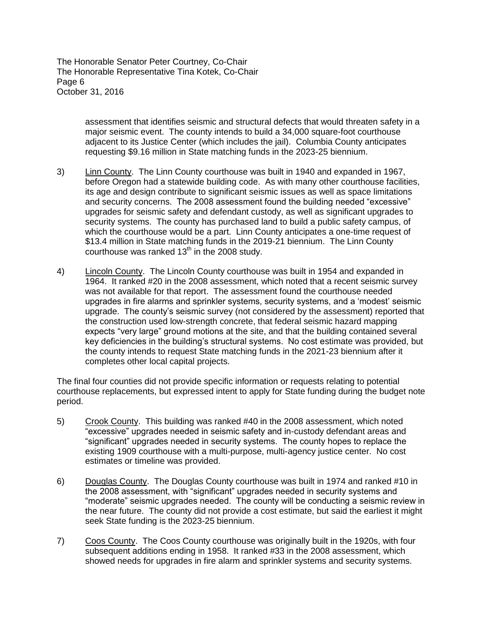The Honorable Senator Peter Courtney, Co-Chair The Honorable Representative Tina Kotek, Co-Chair Page 6 October 31, 2016

> assessment that identifies seismic and structural defects that would threaten safety in a major seismic event. The county intends to build a 34,000 square-foot courthouse adjacent to its Justice Center (which includes the jail). Columbia County anticipates requesting \$9.16 million in State matching funds in the 2023-25 biennium.

- 3) Linn County. The Linn County courthouse was built in 1940 and expanded in 1967, before Oregon had a statewide building code. As with many other courthouse facilities, its age and design contribute to significant seismic issues as well as space limitations and security concerns. The 2008 assessment found the building needed "excessive" upgrades for seismic safety and defendant custody, as well as significant upgrades to security systems. The county has purchased land to build a public safety campus, of which the courthouse would be a part. Linn County anticipates a one-time request of \$13.4 million in State matching funds in the 2019-21 biennium. The Linn County courthouse was ranked  $13<sup>th</sup>$  in the 2008 study.
- 4) Lincoln County. The Lincoln County courthouse was built in 1954 and expanded in 1964. It ranked #20 in the 2008 assessment, which noted that a recent seismic survey was not available for that report. The assessment found the courthouse needed upgrades in fire alarms and sprinkler systems, security systems, and a 'modest' seismic upgrade. The county's seismic survey (not considered by the assessment) reported that the construction used low-strength concrete, that federal seismic hazard mapping expects "very large" ground motions at the site, and that the building contained several key deficiencies in the building's structural systems. No cost estimate was provided, but the county intends to request State matching funds in the 2021-23 biennium after it completes other local capital projects.

The final four counties did not provide specific information or requests relating to potential courthouse replacements, but expressed intent to apply for State funding during the budget note period.

- 5) Crook County. This building was ranked #40 in the 2008 assessment, which noted "excessive" upgrades needed in seismic safety and in-custody defendant areas and "significant" upgrades needed in security systems. The county hopes to replace the existing 1909 courthouse with a multi-purpose, multi-agency justice center. No cost estimates or timeline was provided.
- 6) Douglas County. The Douglas County courthouse was built in 1974 and ranked #10 in the 2008 assessment, with "significant" upgrades needed in security systems and "moderate" seismic upgrades needed. The county will be conducting a seismic review in the near future. The county did not provide a cost estimate, but said the earliest it might seek State funding is the 2023-25 biennium.
- 7) Coos County. The Coos County courthouse was originally built in the 1920s, with four subsequent additions ending in 1958. It ranked #33 in the 2008 assessment, which showed needs for upgrades in fire alarm and sprinkler systems and security systems.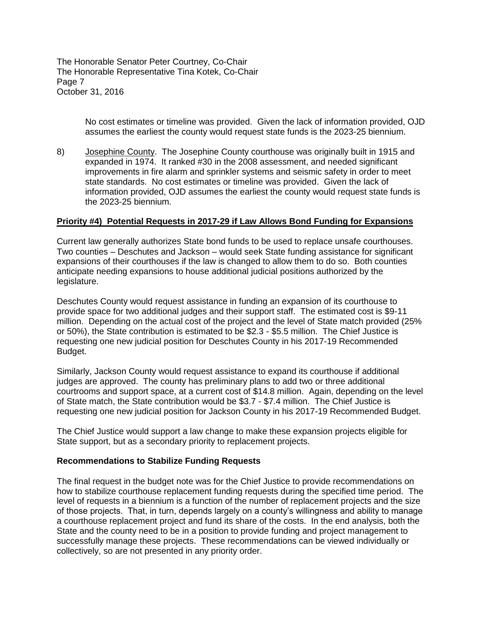The Honorable Senator Peter Courtney, Co-Chair The Honorable Representative Tina Kotek, Co-Chair Page 7 October 31, 2016

> No cost estimates or timeline was provided. Given the lack of information provided, OJD assumes the earliest the county would request state funds is the 2023-25 biennium.

8) Josephine County. The Josephine County courthouse was originally built in 1915 and expanded in 1974. It ranked #30 in the 2008 assessment, and needed significant improvements in fire alarm and sprinkler systems and seismic safety in order to meet state standards. No cost estimates or timeline was provided. Given the lack of information provided, OJD assumes the earliest the county would request state funds is the 2023-25 biennium.

#### **Priority #4) Potential Requests in 2017-29 if Law Allows Bond Funding for Expansions**

Current law generally authorizes State bond funds to be used to replace unsafe courthouses. Two counties – Deschutes and Jackson – would seek State funding assistance for significant expansions of their courthouses if the law is changed to allow them to do so. Both counties anticipate needing expansions to house additional judicial positions authorized by the legislature.

Deschutes County would request assistance in funding an expansion of its courthouse to provide space for two additional judges and their support staff. The estimated cost is \$9-11 million. Depending on the actual cost of the project and the level of State match provided (25% or 50%), the State contribution is estimated to be \$2.3 - \$5.5 million. The Chief Justice is requesting one new judicial position for Deschutes County in his 2017-19 Recommended Budget.

Similarly, Jackson County would request assistance to expand its courthouse if additional judges are approved. The county has preliminary plans to add two or three additional courtrooms and support space, at a current cost of \$14.8 million. Again, depending on the level of State match, the State contribution would be \$3.7 - \$7.4 million. The Chief Justice is requesting one new judicial position for Jackson County in his 2017-19 Recommended Budget.

The Chief Justice would support a law change to make these expansion projects eligible for State support, but as a secondary priority to replacement projects.

#### **Recommendations to Stabilize Funding Requests**

The final request in the budget note was for the Chief Justice to provide recommendations on how to stabilize courthouse replacement funding requests during the specified time period. The level of requests in a biennium is a function of the number of replacement projects and the size of those projects. That, in turn, depends largely on a county's willingness and ability to manage a courthouse replacement project and fund its share of the costs. In the end analysis, both the State and the county need to be in a position to provide funding and project management to successfully manage these projects. These recommendations can be viewed individually or collectively, so are not presented in any priority order.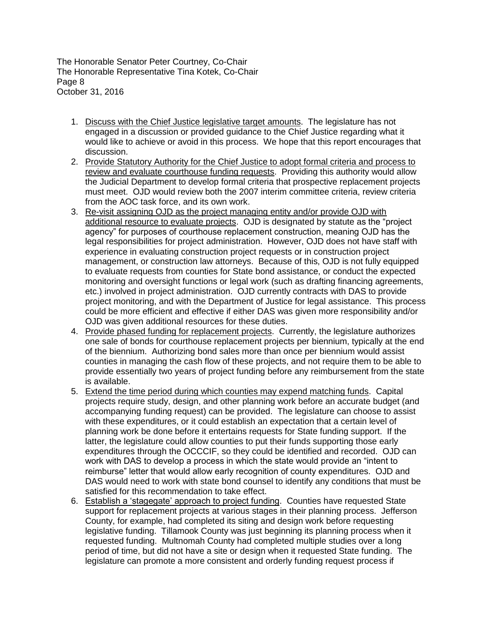The Honorable Senator Peter Courtney, Co-Chair The Honorable Representative Tina Kotek, Co-Chair Page 8 October 31, 2016

- 1. Discuss with the Chief Justice legislative target amounts. The legislature has not engaged in a discussion or provided guidance to the Chief Justice regarding what it would like to achieve or avoid in this process. We hope that this report encourages that discussion.
- 2. Provide Statutory Authority for the Chief Justice to adopt formal criteria and process to review and evaluate courthouse funding requests. Providing this authority would allow the Judicial Department to develop formal criteria that prospective replacement projects must meet. OJD would review both the 2007 interim committee criteria, review criteria from the AOC task force, and its own work.
- 3. Re-visit assigning OJD as the project managing entity and/or provide OJD with additional resource to evaluate projects. OJD is designated by statute as the "project agency" for purposes of courthouse replacement construction, meaning OJD has the legal responsibilities for project administration. However, OJD does not have staff with experience in evaluating construction project requests or in construction project management, or construction law attorneys. Because of this, OJD is not fully equipped to evaluate requests from counties for State bond assistance, or conduct the expected monitoring and oversight functions or legal work (such as drafting financing agreements, etc.) involved in project administration. OJD currently contracts with DAS to provide project monitoring, and with the Department of Justice for legal assistance. This process could be more efficient and effective if either DAS was given more responsibility and/or OJD was given additional resources for these duties.
- 4. Provide phased funding for replacement projects. Currently, the legislature authorizes one sale of bonds for courthouse replacement projects per biennium, typically at the end of the biennium. Authorizing bond sales more than once per biennium would assist counties in managing the cash flow of these projects, and not require them to be able to provide essentially two years of project funding before any reimbursement from the state is available.
- 5. Extend the time period during which counties may expend matching funds. Capital projects require study, design, and other planning work before an accurate budget (and accompanying funding request) can be provided. The legislature can choose to assist with these expenditures, or it could establish an expectation that a certain level of planning work be done before it entertains requests for State funding support. If the latter, the legislature could allow counties to put their funds supporting those early expenditures through the OCCCIF, so they could be identified and recorded. OJD can work with DAS to develop a process in which the state would provide an "intent to reimburse" letter that would allow early recognition of county expenditures. OJD and DAS would need to work with state bond counsel to identify any conditions that must be satisfied for this recommendation to take effect.
- 6. Establish a 'stagegate' approach to project funding. Counties have requested State support for replacement projects at various stages in their planning process. Jefferson County, for example, had completed its siting and design work before requesting legislative funding. Tillamook County was just beginning its planning process when it requested funding. Multnomah County had completed multiple studies over a long period of time, but did not have a site or design when it requested State funding. The legislature can promote a more consistent and orderly funding request process if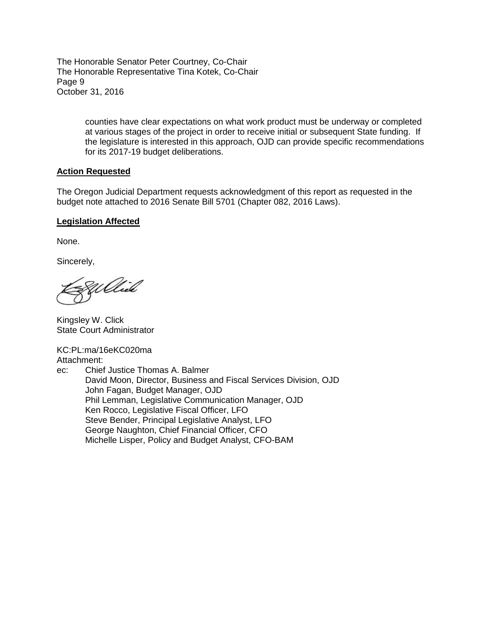The Honorable Senator Peter Courtney, Co-Chair The Honorable Representative Tina Kotek, Co-Chair Page 9 October 31, 2016

> counties have clear expectations on what work product must be underway or completed at various stages of the project in order to receive initial or subsequent State funding. If the legislature is interested in this approach, OJD can provide specific recommendations for its 2017-19 budget deliberations.

#### **Action Requested**

The Oregon Judicial Department requests acknowledgment of this report as requested in the budget note attached to 2016 Senate Bill 5701 (Chapter 082, 2016 Laws).

#### **Legislation Affected**

None.

Sincerely,

Willied

Kingsley W. Click State Court Administrator

KC:PL:ma/16eKC020ma Attachment: ec: Chief Justice Thomas A. Balmer

David Moon, Director, Business and Fiscal Services Division, OJD John Fagan, Budget Manager, OJD Phil Lemman, Legislative Communication Manager, OJD Ken Rocco, Legislative Fiscal Officer, LFO Steve Bender, Principal Legislative Analyst, LFO George Naughton, Chief Financial Officer, CFO Michelle Lisper, Policy and Budget Analyst, CFO-BAM